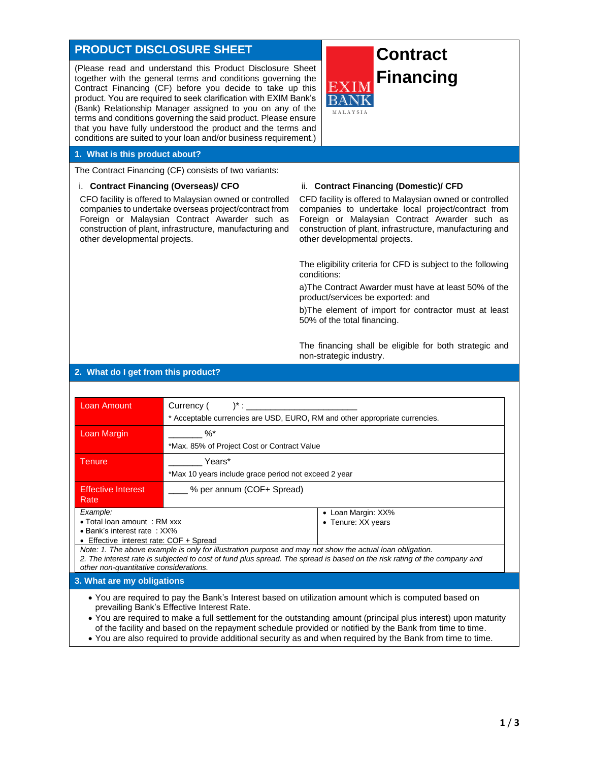# **PRODUCT DISCLOSURE SHEET**

(Please read and understand this Product Disclosure Sheet together with the general terms and conditions governing the Contract Financing (CF) before you decide to take up this product. You are required to seek clarification with EXIM Bank's (Bank) Relationship Manager assigned to you on any of the terms and conditions governing the said product. Please ensure that you have fully understood the product and the terms and conditions are suited to your loan and/or business requirement.)

# **Contract Financing**

#### **1. What is this product about?**

The Contract Financing (CF) consists of two variants:

#### i. **Contract Financing (Overseas)/ CFO**

CFO facility is offered to Malaysian owned or controlled companies to undertake overseas project/contract from Foreign or Malaysian Contract Awarder such as construction of plant, infrastructure, manufacturing and other developmental projects.

#### ii. **Contract Financing (Domestic)/ CFD**

CFD facility is offered to Malaysian owned or controlled companies to undertake local project/contract from Foreign or Malaysian Contract Awarder such as construction of plant, infrastructure, manufacturing and other developmental projects.

The eligibility criteria for CFD is subject to the following conditions:

a)The Contract Awarder must have at least 50% of the product/services be exported: and

b)The element of import for contractor must at least 50% of the total financing.

The financing shall be eligible for both strategic and non-strategic industry.

### **2. What do I get from this product?**

| <b>Loan Amount</b>                                     | Currency (<br>$)^*$ :<br>* Acceptable currencies are USD, EURO, RM and other appropriate currencies. |                                                                                                                          |
|--------------------------------------------------------|------------------------------------------------------------------------------------------------------|--------------------------------------------------------------------------------------------------------------------------|
|                                                        |                                                                                                      |                                                                                                                          |
| Loan Margin                                            | $\%$ *                                                                                               |                                                                                                                          |
|                                                        | *Max. 85% of Project Cost or Contract Value                                                          |                                                                                                                          |
| <b>Tenure</b>                                          | Years*                                                                                               |                                                                                                                          |
|                                                        | *Max 10 years include grace period not exceed 2 year                                                 |                                                                                                                          |
| % per annum (COF+ Spread)<br><b>Effective Interest</b> |                                                                                                      |                                                                                                                          |
| Rate                                                   |                                                                                                      |                                                                                                                          |
| Example:                                               |                                                                                                      | • Loan Margin: XX%                                                                                                       |
| $\bullet$ Total loan amount: RM xxx                    |                                                                                                      | • Tenure: XX years                                                                                                       |
| $\bullet$ Bank's interest rate: $XX\%$                 |                                                                                                      |                                                                                                                          |
| • Effective interest rate: COF + Spread                |                                                                                                      |                                                                                                                          |
|                                                        |                                                                                                      | Note: 1. The above example is only for illustration purpose and may not show the actual loan obligation.                 |
| other non-quantitative considerations.                 |                                                                                                      | 2. The interest rate is subjected to cost of fund plus spread. The spread is based on the risk rating of the company and |
|                                                        |                                                                                                      |                                                                                                                          |
| 3. What are my obligations                             |                                                                                                      |                                                                                                                          |
|                                                        |                                                                                                      | • You are required to pay the Bank's Interest based on utilization amount which is computed based on                     |

- prevailing Bank's Effective Interest Rate.
- You are required to make a full settlement for the outstanding amount (principal plus interest) upon maturity of the facility and based on the repayment schedule provided or notified by the Bank from time to time.
- You are also required to provide additional security as and when required by the Bank from time to time.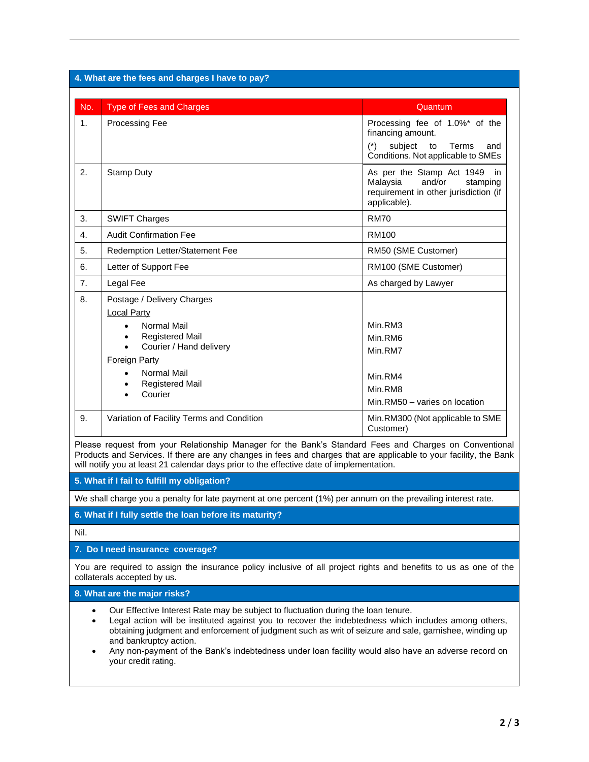| 4. What are the fees and charges I have to pay? |                                                                                                                                                                                                                                                      |                                                                                                                                     |
|-------------------------------------------------|------------------------------------------------------------------------------------------------------------------------------------------------------------------------------------------------------------------------------------------------------|-------------------------------------------------------------------------------------------------------------------------------------|
|                                                 |                                                                                                                                                                                                                                                      |                                                                                                                                     |
| No.                                             | <b>Type of Fees and Charges</b>                                                                                                                                                                                                                      | Quantum                                                                                                                             |
| 1 <sub>1</sub>                                  | <b>Processing Fee</b>                                                                                                                                                                                                                                | Processing fee of 1.0%* of the<br>financing amount.<br>subject<br>$(*)$<br>to<br>Terms<br>and<br>Conditions. Not applicable to SMEs |
| 2.                                              | <b>Stamp Duty</b>                                                                                                                                                                                                                                    | As per the Stamp Act 1949<br>in.<br>Malaysia<br>and/or<br>stamping<br>requirement in other jurisdiction (if<br>applicable).         |
| 3.                                              | <b>SWIFT Charges</b>                                                                                                                                                                                                                                 | <b>RM70</b>                                                                                                                         |
| 4.                                              | <b>Audit Confirmation Fee</b>                                                                                                                                                                                                                        | <b>RM100</b>                                                                                                                        |
| 5.                                              | Redemption Letter/Statement Fee                                                                                                                                                                                                                      | RM50 (SME Customer)                                                                                                                 |
| 6.                                              | Letter of Support Fee                                                                                                                                                                                                                                | RM100 (SME Customer)                                                                                                                |
| 7.                                              | Legal Fee                                                                                                                                                                                                                                            | As charged by Lawyer                                                                                                                |
| 8.                                              | Postage / Delivery Charges<br><b>Local Party</b><br>Normal Mail<br>$\bullet$<br><b>Registered Mail</b><br>$\bullet$<br>Courier / Hand delivery<br>$\bullet$<br><b>Foreign Party</b><br>Normal Mail<br>$\bullet$<br><b>Registered Mail</b><br>Courier | Min.RM3<br>Min.RM6<br>Min.RM7<br>Min.RM4<br>Min.RM8<br>Min.RM50 - varies on location                                                |
| 9.                                              | Variation of Facility Terms and Condition                                                                                                                                                                                                            | Min.RM300 (Not applicable to SME<br>Customer)                                                                                       |

# **5. What if I fail to fulfill my obligation?**

We shall charge you a penalty for late payment at one percent (1%) per annum on the prevailing interest rate.

**6. What if I fully settle the loan before its maturity?**

Nil.

#### **7. Do I need insurance coverage?**

You are required to assign the insurance policy inclusive of all project rights and benefits to us as one of the collaterals accepted by us.

# **8. What are the major risks?**

- Our Effective Interest Rate may be subject to fluctuation during the loan tenure.
- Legal action will be instituted against you to recover the indebtedness which includes among others, obtaining judgment and enforcement of judgment such as writ of seizure and sale, garnishee, winding up and bankruptcy action.
- Any non-payment of the Bank's indebtedness under loan facility would also have an adverse record on your credit rating.